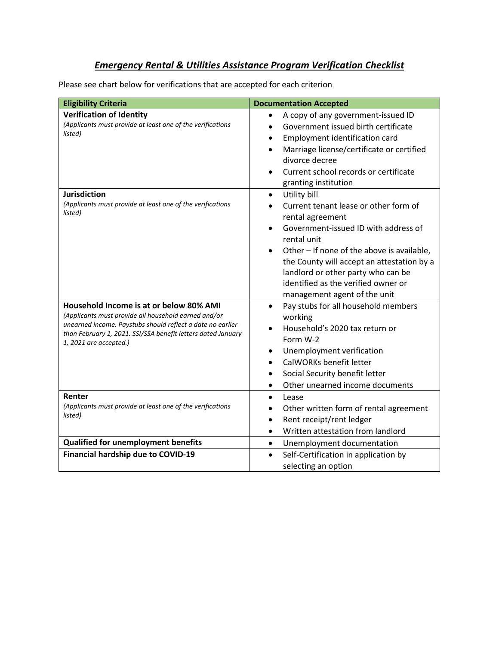## *Emergency Rental & Utilities Assistance Program Verification Checklist*

Please see chart below for verifications that are accepted for each criterion

| <b>Eligibility Criteria</b>                                                                                                                                                                                                                             | <b>Documentation Accepted</b>                                                                                                                                                                                                                                                                                                                                                                 |
|---------------------------------------------------------------------------------------------------------------------------------------------------------------------------------------------------------------------------------------------------------|-----------------------------------------------------------------------------------------------------------------------------------------------------------------------------------------------------------------------------------------------------------------------------------------------------------------------------------------------------------------------------------------------|
| <b>Verification of Identity</b><br>(Applicants must provide at least one of the verifications<br>listed)                                                                                                                                                | A copy of any government-issued ID<br>$\bullet$<br>Government issued birth certificate<br>$\bullet$<br>Employment identification card<br>٠<br>Marriage license/certificate or certified<br>$\bullet$<br>divorce decree<br>Current school records or certificate<br>granting institution                                                                                                       |
| <b>Jurisdiction</b><br>(Applicants must provide at least one of the verifications<br>listed)                                                                                                                                                            | Utility bill<br>$\bullet$<br>Current tenant lease or other form of<br>$\bullet$<br>rental agreement<br>Government-issued ID with address of<br>$\bullet$<br>rental unit<br>Other - If none of the above is available,<br>$\bullet$<br>the County will accept an attestation by a<br>landlord or other party who can be<br>identified as the verified owner or<br>management agent of the unit |
| Household Income is at or below 80% AMI<br>(Applicants must provide all household earned and/or<br>unearned income. Paystubs should reflect a date no earlier<br>than February 1, 2021. SSI/SSA benefit letters dated January<br>1, 2021 are accepted.) | Pay stubs for all household members<br>$\bullet$<br>working<br>Household's 2020 tax return or<br>$\bullet$<br>Form W-2<br>Unemployment verification<br>$\bullet$<br>CalWORKs benefit letter<br>$\bullet$<br>Social Security benefit letter<br>$\bullet$<br>Other unearned income documents<br>$\bullet$                                                                                       |
| Renter<br>(Applicants must provide at least one of the verifications<br>listed)                                                                                                                                                                         | Lease<br>$\bullet$<br>Other written form of rental agreement<br>$\bullet$<br>Rent receipt/rent ledger<br>$\bullet$<br>Written attestation from landlord<br>$\bullet$                                                                                                                                                                                                                          |
| <b>Qualified for unemployment benefits</b>                                                                                                                                                                                                              | Unemployment documentation<br>$\bullet$                                                                                                                                                                                                                                                                                                                                                       |
| Financial hardship due to COVID-19                                                                                                                                                                                                                      | Self-Certification in application by<br>$\bullet$<br>selecting an option                                                                                                                                                                                                                                                                                                                      |